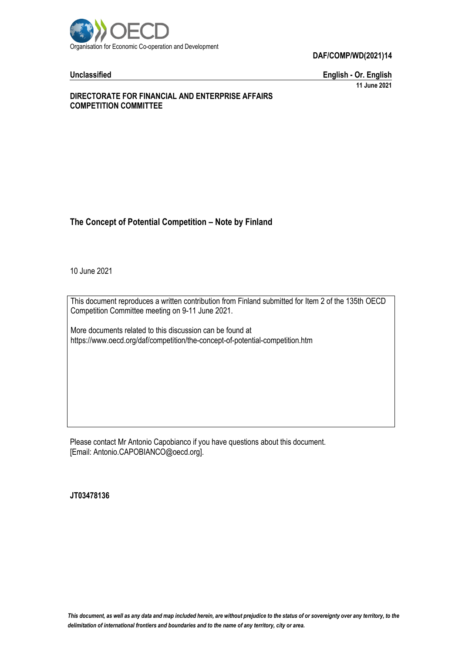

**Unclassified English - Or. English 11 June 2021**

### **DIRECTORATE FOR FINANCIAL AND ENTERPRISE AFFAIRS COMPETITION COMMITTEE**

# **The Concept of Potential Competition – Note by Finland**

10 June 2021

This document reproduces a written contribution from Finland submitted for Item 2 of the 135th OECD Competition Committee meeting on 9-11 June 2021.

More documents related to this discussion can be found at https://www.oecd.org/daf/competition/the-concept-of-potential-competition.htm

Please contact Mr Antonio Capobianco if you have questions about this document. [Email: Antonio.CAPOBIANCO@oecd.org].

**JT03478136**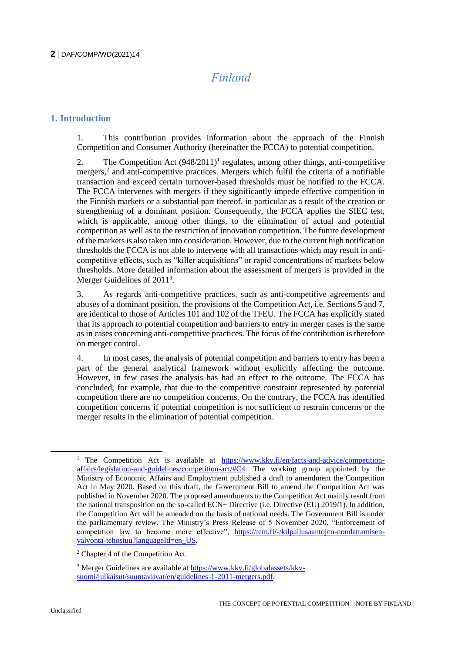# *Finland*

# **1. Introduction**

1. This contribution provides information about the approach of the Finnish Competition and Consumer Authority (hereinafter the FCCA) to potential competition.

2. The Competition Act  $(948/2011)^1$  regulates, among other things, anti-competitive mergers,<sup>2</sup> and anti-competitive practices. Mergers which fulfil the criteria of a notifiable transaction and exceed certain turnover-based thresholds must be notified to the FCCA. The FCCA intervenes with mergers if they significantly impede effective competition in the Finnish markets or a substantial part thereof, in particular as a result of the creation or strengthening of a dominant position. Consequently, the FCCA applies the SIEC test, which is applicable, among other things, to the elimination of actual and potential competition as well as to the restriction of innovation competition. The future development of the markets is also taken into consideration. However, due to the current high notification thresholds the FCCA is not able to intervene with all transactions which may result in anticompetitive effects, such as "killer acquisitions" or rapid concentrations of markets below thresholds. More detailed information about the assessment of mergers is provided in the Merger Guidelines of 2011<sup>3</sup>.

3. As regards anti-competitive practices, such as anti-competitive agreements and abuses of a dominant position, the provisions of the Competition Act, i.e. Sections 5 and 7, are identical to those of Articles 101 and 102 of the TFEU. The FCCA has explicitly stated that its approach to potential competition and barriers to entry in merger cases is the same as in cases concerning anti-competitive practices. The focus of the contribution is therefore on merger control.

4. In most cases, the analysis of potential competition and barriers to entry has been a part of the general analytical framework without explicitly affecting the outcome. However, in few cases the analysis has had an effect to the outcome. The FCCA has concluded, for example, that due to the competitive constraint represented by potential competition there are no competition concerns. On the contrary, the FCCA has identified competition concerns if potential competition is not sufficient to restrain concerns or the merger results in the elimination of potential competition.

<sup>&</sup>lt;sup>1</sup> The Competition Act is available at [https://www.kkv.fi/en/facts-and-advice/competition](https://www.kkv.fi/en/facts-and-advice/competition-affairs/legislation-and-guidelines/competition-act/#C4)[affairs/legislation-and-guidelines/competition-act/#C4.](https://www.kkv.fi/en/facts-and-advice/competition-affairs/legislation-and-guidelines/competition-act/#C4) The working group appointed by the Ministry of Economic Affairs and Employment published a draft to amendment the Competition Act in May 2020. Based on this draft, the Government Bill to amend the Competition Act was published in November 2020. The proposed amendments to the Competition Act mainly result from the national transposition on the so-called ECN+ Directive (i.e. Directive (EU) 2019/1). In addition, the Competition Act will be amended on the basis of national needs. The Government Bill is under the parliamentary review. The Ministry's Press Release of 5 November 2020, "Enforcement of competition law to become more effective", [https://tem.fi/-/kilpailusaantojen-noudattamisen](https://tem.fi/-/kilpailusaantojen-noudattamisen-valvonta-tehostuu?languageId=en_US)[valvonta-tehostuu?languageId=en\\_US.](https://tem.fi/-/kilpailusaantojen-noudattamisen-valvonta-tehostuu?languageId=en_US) 

<sup>2</sup> Chapter 4 of the Competition Act.

<sup>3</sup> Merger Guidelines are available a[t https://www.kkv.fi/globalassets/kkv](https://www.kkv.fi/globalassets/kkv-suomi/julkaisut/suuntaviivat/en/guidelines-1-2011-mergers.pdf)[suomi/julkaisut/suuntaviivat/en/guidelines-1-2011-mergers.pdf.](https://www.kkv.fi/globalassets/kkv-suomi/julkaisut/suuntaviivat/en/guidelines-1-2011-mergers.pdf)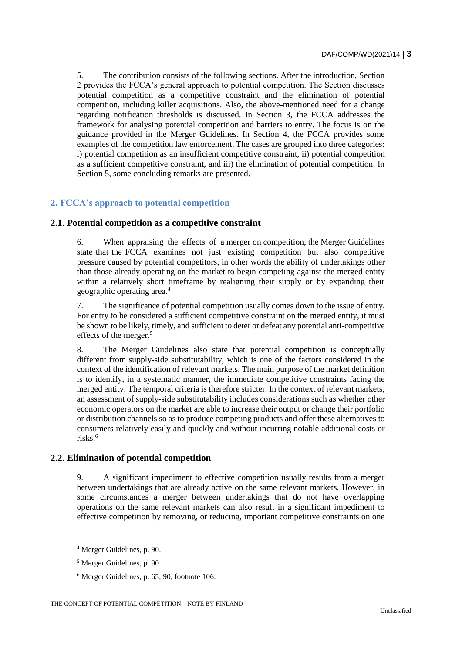5. The contribution consists of the following sections. After the introduction, Section 2 provides the FCCA's general approach to potential competition. The Section discusses potential competition as a competitive constraint and the elimination of potential competition, including killer acquisitions. Also, the above-mentioned need for a change regarding notification thresholds is discussed. In Section 3, the FCCA addresses the framework for analysing potential competition and barriers to entry. The focus is on the guidance provided in the Merger Guidelines. In Section 4, the FCCA provides some examples of the competition law enforcement. The cases are grouped into three categories: i) potential competition as an insufficient competitive constraint, ii) potential competition as a sufficient competitive constraint, and iii) the elimination of potential competition. In Section 5, some concluding remarks are presented.

# **2. FCCA's approach to potential competition**

### **2.1. Potential competition as a competitive constraint**

6. When appraising the effects of a merger on competition, the Merger Guidelines state that the FCCA examines not just existing competition but also competitive pressure caused by potential competitors, in other words the ability of undertakings other than those already operating on the market to begin competing against the merged entity within a relatively short timeframe by realigning their supply or by expanding their geographic operating area.<sup>4</sup>

7. The significance of potential competition usually comes down to the issue of entry. For entry to be considered a sufficient competitive constraint on the merged entity, it must be shown to be likely, timely, and sufficient to deter or defeat any potential anti-competitive effects of the merger.<sup>5</sup>

8. The Merger Guidelines also state that potential competition is conceptually different from supply-side substitutability, which is one of the factors considered in the context of the identification of relevant markets. The main purpose of the market definition is to identify, in a systematic manner, the immediate competitive constraints facing the merged entity. The temporal criteria is therefore stricter. In the context of relevant markets, an assessment of supply-side substitutability includes considerations such as whether other economic operators on the market are able to increase their output or change their portfolio or distribution channels so as to produce competing products and offer these alternatives to consumers relatively easily and quickly and without incurring notable additional costs or risks.<sup>6</sup>

# **2.2. Elimination of potential competition**

9. A significant impediment to effective competition usually results from a merger between undertakings that are already active on the same relevant markets. However, in some circumstances a merger between undertakings that do not have overlapping operations on the same relevant markets can also result in a significant impediment to effective competition by removing, or reducing, important competitive constraints on one

<sup>4</sup> Merger Guidelines, p. 90.

<sup>5</sup> Merger Guidelines, p. 90.

<sup>6</sup> Merger Guidelines, p. 65, 90, footnote 106.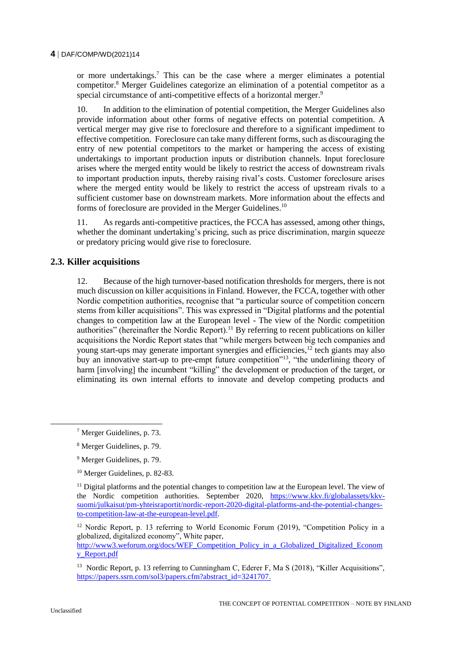or more undertakings.<sup>7</sup> This can be the case where a merger eliminates a potential competitor.<sup>8</sup> Merger Guidelines categorize an elimination of a potential competitor as a special circumstance of anti-competitive effects of a horizontal merger.<sup>9</sup>

10. In addition to the elimination of potential competition, the Merger Guidelines also provide information about other forms of negative effects on potential competition. A vertical merger may give rise to foreclosure and therefore to a significant impediment to effective competition. Foreclosure can take many different forms, such as discouraging the entry of new potential competitors to the market or hampering the access of existing undertakings to important production inputs or distribution channels. Input foreclosure arises where the merged entity would be likely to restrict the access of downstream rivals to important production inputs, thereby raising rival's costs. Customer foreclosure arises where the merged entity would be likely to restrict the access of upstream rivals to a sufficient customer base on downstream markets. More information about the effects and forms of foreclosure are provided in the Merger Guidelines.<sup>10</sup>

11. As regards anti-competitive practices, the FCCA has assessed, among other things, whether the dominant undertaking's pricing, such as price discrimination, margin squeeze or predatory pricing would give rise to foreclosure.

### **2.3. Killer acquisitions**

12. Because of the high turnover-based notification thresholds for mergers, there is not much discussion on killer acquisitions in Finland. However, the FCCA, together with other Nordic competition authorities, recognise that "a particular source of competition concern stems from killer acquisitions". This was expressed in "Digital platforms and the potential changes to competition law at the European level - The view of the Nordic competition authorities" (hereinafter the Nordic Report).<sup>11</sup> By referring to recent publications on killer acquisitions the Nordic Report states that "while mergers between big tech companies and young start-ups may generate important synergies and efficiencies,<sup>12</sup> tech giants may also buy an innovative start-up to pre-empt future competition"<sup>13</sup>, "the underlining theory of harm [involving] the incumbent "killing" the development or production of the target, or eliminating its own internal efforts to innovate and develop competing products and

[http://www3.weforum.org/docs/WEF\\_Competition\\_Policy\\_in\\_a\\_Globalized\\_Digitalized\\_Econom](http://www3.weforum.org/docs/WEF_Competition_Policy_in_a_Globalized_Digitalized_Economy_Report.pdf) [y\\_Report.pdf](http://www3.weforum.org/docs/WEF_Competition_Policy_in_a_Globalized_Digitalized_Economy_Report.pdf)

<sup>7</sup> Merger Guidelines, p. 73.

<sup>8</sup> Merger Guidelines, p. 79.

<sup>9</sup> Merger Guidelines, p. 79.

<sup>10</sup> Merger Guidelines, p. 82-83.

<sup>&</sup>lt;sup>11</sup> Digital platforms and the potential changes to competition law at the European level. The view of the Nordic competition authorities. September 2020, [https://www.kkv.fi/globalassets/kkv](https://www.kkv.fi/globalassets/kkv-suomi/julkaisut/pm-yhteisraportit/nordic-report-2020-digital-platforms-and-the-potential-changes-to-competition-law-at-the-european-level.pdf)[suomi/julkaisut/pm-yhteisraportit/nordic-report-2020-digital-platforms-and-the-potential-changes](https://www.kkv.fi/globalassets/kkv-suomi/julkaisut/pm-yhteisraportit/nordic-report-2020-digital-platforms-and-the-potential-changes-to-competition-law-at-the-european-level.pdf)[to-competition-law-at-the-european-level.pdf.](https://www.kkv.fi/globalassets/kkv-suomi/julkaisut/pm-yhteisraportit/nordic-report-2020-digital-platforms-and-the-potential-changes-to-competition-law-at-the-european-level.pdf) 

<sup>&</sup>lt;sup>12</sup> Nordic Report, p. 13 referring to World Economic Forum (2019), "Competition Policy in a globalized, digitalized economy", White paper,

<sup>&</sup>lt;sup>13</sup> Nordic Report, p. 13 referring to Cunningham C, Ederer F, Ma S (2018), "Killer Acquisitions", [https://papers.ssrn.com/sol3/papers.cfm?abstract\\_id=3241707.](https://papers.ssrn.com/sol3/papers.cfm?abstract_id=3241707)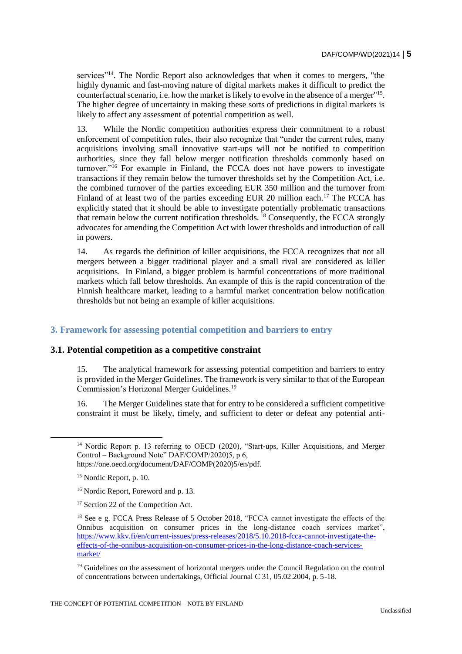services"<sup>14</sup>. The Nordic Report also acknowledges that when it comes to mergers, "the highly dynamic and fast-moving nature of digital markets makes it difficult to predict the counterfactual scenario, i.e. how the market is likely to evolve in the absence of a merger"<sup>15</sup>. The higher degree of uncertainty in making these sorts of predictions in digital markets is likely to affect any assessment of potential competition as well.

13. While the Nordic competition authorities express their commitment to a robust enforcement of competition rules, their also recognize that "under the current rules, many acquisitions involving small innovative start-ups will not be notified to competition authorities, since they fall below merger notification thresholds commonly based on turnover."<sup>16</sup> For example in Finland, the FCCA does not have powers to investigate transactions if they remain below the turnover thresholds set by the Competition Act, i.e. the combined turnover of the parties exceeding EUR 350 million and the turnover from Finland of at least two of the parties exceeding EUR 20 million each.<sup>17</sup> The FCCA has explicitly stated that it should be able to investigate potentially problematic transactions that remain below the current notification thresholds.<sup>18</sup> Consequently, the FCCA strongly advocates for amending the Competition Act with lower thresholds and introduction of call in powers.

14. As regards the definition of killer acquisitions, the FCCA recognizes that not all mergers between a bigger traditional player and a small rival are considered as killer acquisitions. In Finland, a bigger problem is harmful concentrations of more traditional markets which fall below thresholds. An example of this is the rapid concentration of the Finnish healthcare market, leading to a harmful market concentration below notification thresholds but not being an example of killer acquisitions.

# **3. Framework for assessing potential competition and barriers to entry**

#### **3.1. Potential competition as a competitive constraint**

15. The analytical framework for assessing potential competition and barriers to entry is provided in the Merger Guidelines. The framework is very similar to that of the European Commission's Horizonal Merger Guidelines.<sup>19</sup>

16. The Merger Guidelines state that for entry to be considered a sufficient competitive constraint it must be likely, timely, and sufficient to deter or defeat any potential anti-

<sup>&</sup>lt;sup>14</sup> Nordic Report p. 13 referring to OECD (2020), "Start-ups, Killer Acquisitions, and Merger Control – Background Note" DAF/COMP/2020)5, p 6, https://one.oecd.org/document/DAF/COMP(2020)5/en/pdf.

<sup>&</sup>lt;sup>15</sup> Nordic Report, p. 10.

<sup>&</sup>lt;sup>16</sup> Nordic Report, Foreword and p. 13.

<sup>&</sup>lt;sup>17</sup> Section 22 of the Competition Act.

<sup>&</sup>lt;sup>18</sup> See e g. FCCA Press Release of 5 October 2018, "FCCA cannot investigate the effects of the Onnibus acquisition on consumer prices in the long-distance coach services market", [https://www.kkv.fi/en/current-issues/press-releases/2018/5.10.2018-fcca-cannot-investigate-the](https://www.kkv.fi/en/current-issues/press-releases/2018/5.10.2018-fcca-cannot-investigate-the-effects-of-the-onnibus-acquisition-on-consumer-prices-in-the-long-distance-coach-services-market/)[effects-of-the-onnibus-acquisition-on-consumer-prices-in-the-long-distance-coach-services](https://www.kkv.fi/en/current-issues/press-releases/2018/5.10.2018-fcca-cannot-investigate-the-effects-of-the-onnibus-acquisition-on-consumer-prices-in-the-long-distance-coach-services-market/)[market/](https://www.kkv.fi/en/current-issues/press-releases/2018/5.10.2018-fcca-cannot-investigate-the-effects-of-the-onnibus-acquisition-on-consumer-prices-in-the-long-distance-coach-services-market/)

<sup>&</sup>lt;sup>19</sup> Guidelines on the assessment of horizontal mergers under the Council Regulation on the control of concentrations between undertakings, Official Journal C 31, 05.02.2004, p. 5-18.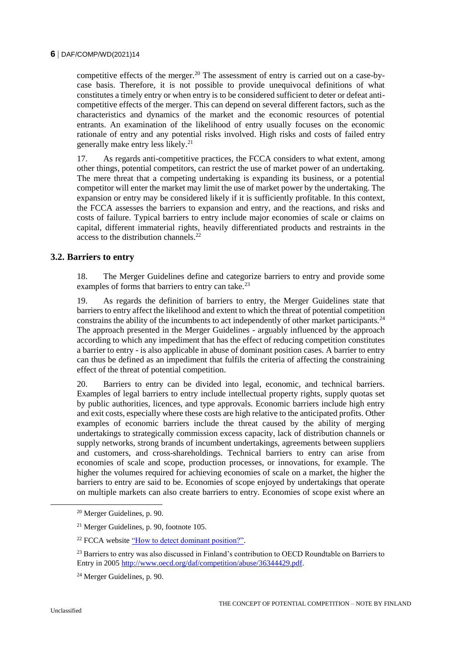competitive effects of the merger.<sup>20</sup> The assessment of entry is carried out on a case-bycase basis. Therefore, it is not possible to provide unequivocal definitions of what constitutes a timely entry or when entry is to be considered sufficient to deter or defeat anticompetitive effects of the merger. This can depend on several different factors, such as the characteristics and dynamics of the market and the economic resources of potential entrants. An examination of the likelihood of entry usually focuses on the economic rationale of entry and any potential risks involved. High risks and costs of failed entry generally make entry less likely.<sup>21</sup>

17. As regards anti-competitive practices, the FCCA considers to what extent, among other things, potential competitors, can restrict the use of market power of an undertaking. The mere threat that a competing undertaking is expanding its business, or a potential competitor will enter the market may limit the use of market power by the undertaking. The expansion or entry may be considered likely if it is sufficiently profitable. In this context, the FCCA assesses the barriers to expansion and entry, and the reactions, and risks and costs of failure. Typical barriers to entry include major economies of scale or claims on capital, different immaterial rights, heavily differentiated products and restraints in the access to the distribution channels.<sup>22</sup>

# **3.2. Barriers to entry**

18. The Merger Guidelines define and categorize barriers to entry and provide some examples of forms that barriers to entry can take.<sup>23</sup>

19. As regards the definition of barriers to entry, the Merger Guidelines state that barriers to entry affect the likelihood and extent to which the threat of potential competition constrains the ability of the incumbents to act independently of other market participants.<sup>24</sup> The approach presented in the Merger Guidelines - arguably influenced by the approach according to which any impediment that has the effect of reducing competition constitutes a barrier to entry - is also applicable in abuse of dominant position cases. A barrier to entry can thus be defined as an impediment that fulfils the criteria of affecting the constraining effect of the threat of potential competition.

20. Barriers to entry can be divided into legal, economic, and technical barriers. Examples of legal barriers to entry include intellectual property rights, supply quotas set by public authorities, licences, and type approvals. Economic barriers include high entry and exit costs, especially where these costs are high relative to the anticipated profits. Other examples of economic barriers include the threat caused by the ability of merging undertakings to strategically commission excess capacity, lack of distribution channels or supply networks, strong brands of incumbent undertakings, agreements between suppliers and customers, and cross-shareholdings. Technical barriers to entry can arise from economies of scale and scope, production processes, or innovations, for example. The higher the volumes required for achieving economies of scale on a market, the higher the barriers to entry are said to be. Economies of scope enjoyed by undertakings that operate on multiple markets can also create barriers to entry. Economies of scope exist where an

<sup>20</sup> Merger Guidelines, p. 90.

<sup>21</sup> Merger Guidelines, p. 90, footnote 105.

<sup>&</sup>lt;sup>22</sup> FCCA website "How to detect dominant position?".

<sup>&</sup>lt;sup>23</sup> Barriers to entry was also discussed in Finland's contribution to OECD Roundtable on Barriers to Entry in 200[5 http://www.oecd.org/daf/competition/abuse/36344429.pdf.](http://www.oecd.org/daf/competition/abuse/36344429.pdf)

<sup>24</sup> Merger Guidelines, p. 90.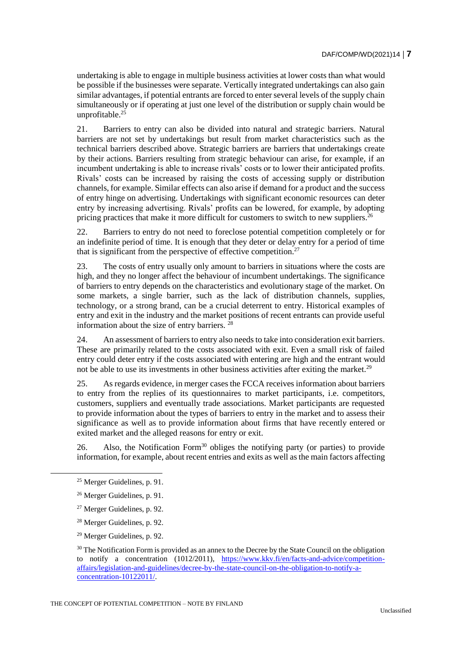undertaking is able to engage in multiple business activities at lower costs than what would be possible if the businesses were separate. Vertically integrated undertakings can also gain similar advantages, if potential entrants are forced to enter several levels of the supply chain simultaneously or if operating at just one level of the distribution or supply chain would be unprofitable. $25$ 

21. Barriers to entry can also be divided into natural and strategic barriers. Natural barriers are not set by undertakings but result from market characteristics such as the technical barriers described above. Strategic barriers are barriers that undertakings create by their actions. Barriers resulting from strategic behaviour can arise, for example, if an incumbent undertaking is able to increase rivals' costs or to lower their anticipated profits. Rivals' costs can be increased by raising the costs of accessing supply or distribution channels, for example. Similar effects can also arise if demand for a product and the success of entry hinge on advertising. Undertakings with significant economic resources can deter entry by increasing advertising. Rivals' profits can be lowered, for example, by adopting pricing practices that make it more difficult for customers to switch to new suppliers.<sup>26</sup>

22. Barriers to entry do not need to foreclose potential competition completely or for an indefinite period of time. It is enough that they deter or delay entry for a period of time that is significant from the perspective of effective competition.<sup>27</sup>

23. The costs of entry usually only amount to barriers in situations where the costs are high, and they no longer affect the behaviour of incumbent undertakings. The significance of barriers to entry depends on the characteristics and evolutionary stage of the market. On some markets, a single barrier, such as the lack of distribution channels, supplies, technology, or a strong brand, can be a crucial deterrent to entry. Historical examples of entry and exit in the industry and the market positions of recent entrants can provide useful information about the size of entry barriers.<sup>28</sup>

24. An assessment of barriers to entry also needs to take into consideration exit barriers. These are primarily related to the costs associated with exit. Even a small risk of failed entry could deter entry if the costs associated with entering are high and the entrant would not be able to use its investments in other business activities after exiting the market.<sup>29</sup>

25. As regards evidence, in merger cases the FCCA receives information about barriers to entry from the replies of its questionnaires to market participants, i.e. competitors, customers, suppliers and eventually trade associations. Market participants are requested to provide information about the types of barriers to entry in the market and to assess their significance as well as to provide information about firms that have recently entered or exited market and the alleged reasons for entry or exit.

26. Also, the Notification Form<sup>30</sup> obliges the notifying party (or parties) to provide information, for example, about recent entries and exits as well as the main factors affecting

<sup>25</sup> Merger Guidelines, p. 91.

<sup>26</sup> Merger Guidelines, p. 91.

<sup>27</sup> Merger Guidelines, p. 92.

<sup>28</sup> Merger Guidelines, p. 92.

<sup>29</sup> Merger Guidelines, p. 92.

<sup>&</sup>lt;sup>30</sup> The Notification Form is provided as an annex to the Decree by the State Council on the obligation to notify a concentration (1012/2011), [https://www.kkv.fi/en/facts-and-advice/competition](https://www.kkv.fi/en/facts-and-advice/competition-affairs/legislation-and-guidelines/decree-by-the-state-council-on-the-obligation-to-notify-a-concentration-10122011/)[affairs/legislation-and-guidelines/decree-by-the-state-council-on-the-obligation-to-notify-a](https://www.kkv.fi/en/facts-and-advice/competition-affairs/legislation-and-guidelines/decree-by-the-state-council-on-the-obligation-to-notify-a-concentration-10122011/)[concentration-10122011/.](https://www.kkv.fi/en/facts-and-advice/competition-affairs/legislation-and-guidelines/decree-by-the-state-council-on-the-obligation-to-notify-a-concentration-10122011/)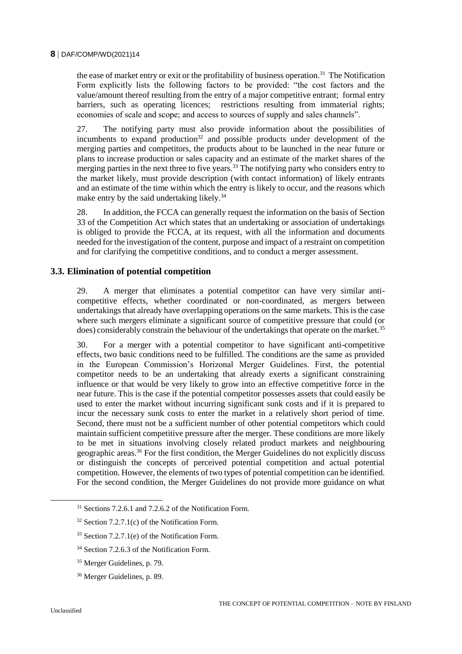the ease of market entry or exit or the profitability of business operation.<sup>31</sup> The Notification Form explicitly lists the following factors to be provided: "the cost factors and the value/amount thereof resulting from the entry of a major competitive entrant; formal entry barriers, such as operating licences; restrictions resulting from immaterial rights; economies of scale and scope; and access to sources of supply and sales channels".

27. The notifying party must also provide information about the possibilities of incumbents to expand production<sup>32</sup> and possible products under development of the merging parties and competitors, the products about to be launched in the near future or plans to increase production or sales capacity and an estimate of the market shares of the merging parties in the next three to five years.<sup>33</sup> The notifying party who considers entry to the market likely, must provide description (with contact information) of likely entrants and an estimate of the time within which the entry is likely to occur, and the reasons which make entry by the said undertaking likely.<sup>34</sup>

28. In addition, the FCCA can generally request the information on the basis of Section 33 of the Competition Act which states that an undertaking or association of undertakings is obliged to provide the FCCA, at its request, with all the information and documents needed for the investigation of the content, purpose and impact of a restraint on competition and for clarifying the competitive conditions, and to conduct a merger assessment.

### **3.3. Elimination of potential competition**

29. A merger that eliminates a potential competitor can have very similar anticompetitive effects, whether coordinated or non-coordinated, as mergers between undertakings that already have overlapping operations on the same markets. This is the case where such mergers eliminate a significant source of competitive pressure that could (or does) considerably constrain the behaviour of the undertakings that operate on the market.<sup>35</sup>

30. For a merger with a potential competitor to have significant anti-competitive effects, two basic conditions need to be fulfilled. The conditions are the same as provided in the European Commission's Horizonal Merger Guidelines. First, the potential competitor needs to be an undertaking that already exerts a significant constraining influence or that would be very likely to grow into an effective competitive force in the near future. This is the case if the potential competitor possesses assets that could easily be used to enter the market without incurring significant sunk costs and if it is prepared to incur the necessary sunk costs to enter the market in a relatively short period of time. Second, there must not be a sufficient number of other potential competitors which could maintain sufficient competitive pressure after the merger. These conditions are more likely to be met in situations involving closely related product markets and neighbouring geographic areas.<sup>36</sup> For the first condition, the Merger Guidelines do not explicitly discuss or distinguish the concepts of perceived potential competition and actual potential competition. However, the elements of two types of potential competition can be identified. For the second condition, the Merger Guidelines do not provide more guidance on what

 $31$  Sections 7.2.6.1 and 7.2.6.2 of the Notification Form.

 $32$  Section 7.2.7.1(c) of the Notification Form.

<sup>33</sup> Section 7.2.7.1(e) of the Notification Form.

<sup>&</sup>lt;sup>34</sup> Section 7.2.6.3 of the Notification Form.

<sup>35</sup> Merger Guidelines, p. 79.

<sup>36</sup> Merger Guidelines, p. 89.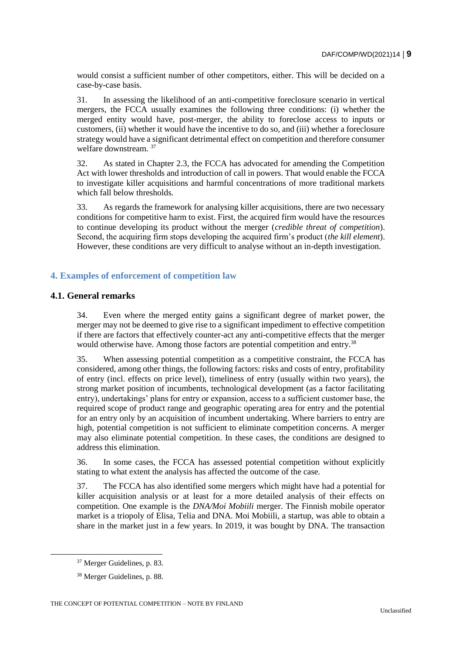would consist a sufficient number of other competitors, either. This will be decided on a case-by-case basis.

31. In assessing the likelihood of an anti-competitive foreclosure scenario in vertical mergers, the FCCA usually examines the following three conditions: (i) whether the merged entity would have, post-merger, the ability to foreclose access to inputs or customers, (ii) whether it would have the incentive to do so, and (iii) whether a foreclosure strategy would have a significant detrimental effect on competition and therefore consumer welfare downstream. <sup>37</sup>

32. As stated in Chapter 2.3, the FCCA has advocated for amending the Competition Act with lower thresholds and introduction of call in powers. That would enable the FCCA to investigate killer acquisitions and harmful concentrations of more traditional markets which fall below thresholds.

33. As regards the framework for analysing killer acquisitions, there are two necessary conditions for competitive harm to exist. First, the acquired firm would have the resources to continue developing its product without the merger (*credible threat of competition*). Second, the acquiring firm stops developing the acquired firm's product (*the kill element*). However, these conditions are very difficult to analyse without an in-depth investigation.

# **4. Examples of enforcement of competition law**

### **4.1. General remarks**

34. Even where the merged entity gains a significant degree of market power, the merger may not be deemed to give rise to a significant impediment to effective competition if there are factors that effectively counter-act any anti-competitive effects that the merger would otherwise have. Among those factors are potential competition and entry.<sup>38</sup>

35. When assessing potential competition as a competitive constraint, the FCCA has considered, among other things, the following factors: risks and costs of entry, profitability of entry (incl. effects on price level), timeliness of entry (usually within two years), the strong market position of incumbents, technological development (as a factor facilitating entry), undertakings' plans for entry or expansion, access to a sufficient customer base, the required scope of product range and geographic operating area for entry and the potential for an entry only by an acquisition of incumbent undertaking. Where barriers to entry are high, potential competition is not sufficient to eliminate competition concerns. A merger may also eliminate potential competition. In these cases, the conditions are designed to address this elimination.

36. In some cases, the FCCA has assessed potential competition without explicitly stating to what extent the analysis has affected the outcome of the case.

37. The FCCA has also identified some mergers which might have had a potential for killer acquisition analysis or at least for a more detailed analysis of their effects on competition. One example is the *DNA/Moi Mobiili* merger. The Finnish mobile operator market is a triopoly of Elisa, Telia and DNA. Moi Mobiili, a startup, was able to obtain a share in the market just in a few years. In 2019, it was bought by DNA. The transaction

<sup>37</sup> Merger Guidelines, p. 83.

<sup>38</sup> Merger Guidelines, p. 88.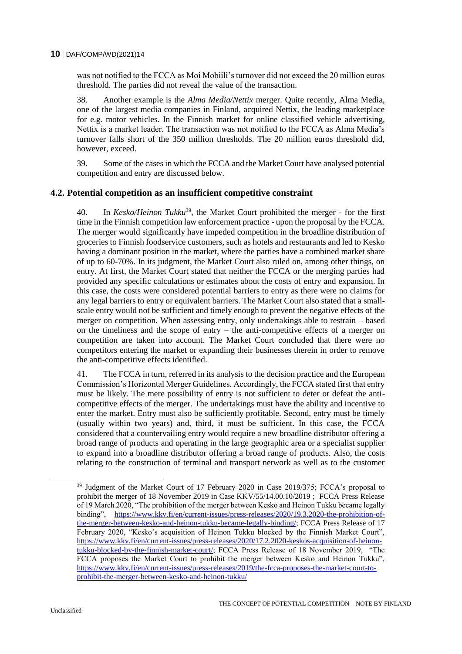was not notified to the FCCA as Moi Mobiili's turnover did not exceed the 20 million euros threshold. The parties did not reveal the value of the transaction.

38. Another example is the *Alma Media/Nettix* merger. Quite recently, Alma Media, one of the largest media companies in Finland, acquired Nettix, the leading marketplace for e.g. motor vehicles. In the Finnish market for online classified vehicle advertising, Nettix is a market leader. The transaction was not notified to the FCCA as Alma Media's turnover falls short of the 350 million thresholds. The 20 million euros threshold did, however, exceed.

39. Some of the cases in which the FCCA and the Market Court have analysed potential competition and entry are discussed below.

#### **4.2. Potential competition as an insufficient competitive constraint**

40. In *Kesko/Heinon Tukku*<sup>39</sup>, the Market Court prohibited the merger - for the first time in the Finnish competition law enforcement practice - upon the proposal by the FCCA. The merger would significantly have impeded competition in the broadline distribution of groceries to Finnish foodservice customers, such as hotels and restaurants and led to Kesko having a dominant position in the market, where the parties have a combined market share of up to 60-70%. In its judgment, the Market Court also ruled on, among other things, on entry. At first, the Market Court stated that neither the FCCA or the merging parties had provided any specific calculations or estimates about the costs of entry and expansion. In this case, the costs were considered potential barriers to entry as there were no claims for any legal barriers to entry or equivalent barriers. The Market Court also stated that a smallscale entry would not be sufficient and timely enough to prevent the negative effects of the merger on competition. When assessing entry, only undertakings able to restrain – based on the timeliness and the scope of entry – the anti-competitive effects of a merger on competition are taken into account. The Market Court concluded that there were no competitors entering the market or expanding their businesses therein in order to remove the anti-competitive effects identified.

41. The FCCA in turn, referred in its analysis to the decision practice and the European Commission's Horizontal Merger Guidelines. Accordingly, the FCCA stated first that entry must be likely. The mere possibility of entry is not sufficient to deter or defeat the anticompetitive effects of the merger. The undertakings must have the ability and incentive to enter the market. Entry must also be sufficiently profitable. Second, entry must be timely (usually within two years) and, third, it must be sufficient. In this case, the FCCA considered that a countervailing entry would require a new broadline distributor offering a broad range of products and operating in the large geographic area or a specialist supplier to expand into a broadline distributor offering a broad range of products. Also, the costs relating to the construction of terminal and transport network as well as to the customer

<sup>&</sup>lt;sup>39</sup> Judgment of the Market Court of 17 February 2020 in Case 2019/375; FCCA's proposal to prohibit the merger of 18 November 2019 in Case KKV/55/14.00.10/2019 ; FCCA Press Release of 19 March 2020, "The prohibition of the merger between Kesko and Heinon Tukku became legally binding", [https://www.kkv.fi/en/current-issues/press-releases/2020/19.3.2020-the-prohibition-of](https://www.kkv.fi/en/current-issues/press-releases/2020/19.3.2020-the-prohibition-of-the-merger-between-kesko-and-heinon-tukku-became-legally-binding/)[the-merger-between-kesko-and-heinon-tukku-became-legally-binding/;](https://www.kkv.fi/en/current-issues/press-releases/2020/19.3.2020-the-prohibition-of-the-merger-between-kesko-and-heinon-tukku-became-legally-binding/) FCCA Press Release of 17 February 2020, "Kesko's acquisition of Heinon Tukku blocked by the Finnish Market Court", [https://www.kkv.fi/en/current-issues/press-releases/2020/17.2.2020-keskos-acquisition-of-heinon](https://www.kkv.fi/en/current-issues/press-releases/2020/17.2.2020-keskos-acquisition-of-heinon-tukku-blocked-by-the-finnish-market-court/)[tukku-blocked-by-the-finnish-market-court/;](https://www.kkv.fi/en/current-issues/press-releases/2020/17.2.2020-keskos-acquisition-of-heinon-tukku-blocked-by-the-finnish-market-court/) FCCA Press Release of 18 November 2019, "The FCCA proposes the Market Court to prohibit the merger between Kesko and Heinon Tukku", [https://www.kkv.fi/en/current-issues/press-releases/2019/the-fcca-proposes-the-market-court-to](https://www.kkv.fi/en/current-issues/press-releases/2019/the-fcca-proposes-the-market-court-to-prohibit-the-merger-between-kesko-and-heinon-tukku/)[prohibit-the-merger-between-kesko-and-heinon-tukku/](https://www.kkv.fi/en/current-issues/press-releases/2019/the-fcca-proposes-the-market-court-to-prohibit-the-merger-between-kesko-and-heinon-tukku/)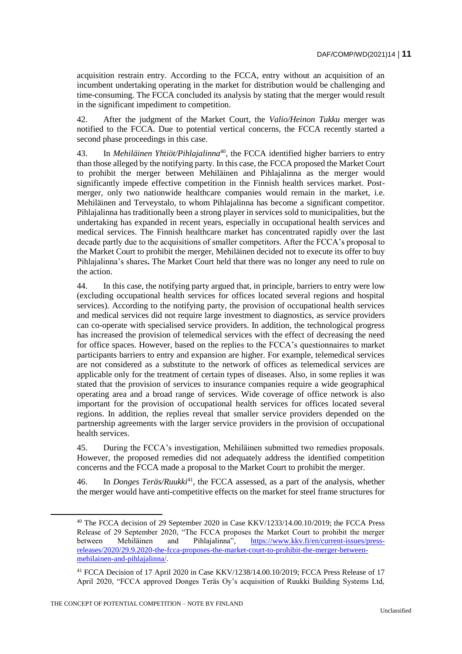acquisition restrain entry. According to the FCCA, entry without an acquisition of an incumbent undertaking operating in the market for distribution would be challenging and time-consuming. The FCCA concluded its analysis by stating that the merger would result in the significant impediment to competition.

42. After the judgment of the Market Court, the *Valio/Heinon Tukku* merger was notified to the FCCA. Due to potential vertical concerns, the FCCA recently started a second phase proceedings in this case.

43. In *Mehiläinen Yhtiöt/Pihlajalinna*<sup>40</sup>, the FCCA identified higher barriers to entry than those alleged by the notifying party. In this case, the FCCA proposed the Market Court to prohibit the merger between Mehiläinen and Pihlajalinna as the merger would significantly impede effective competition in the Finnish health services market. Postmerger, only two nationwide healthcare companies would remain in the market, i.e. Mehiläinen and Terveystalo, to whom Pihlajalinna has become a significant competitor. Pihlajalinna has traditionally been a strong player in services sold to municipalities, but the undertaking has expanded in recent years, especially in occupational health services and medical services. The Finnish healthcare market has concentrated rapidly over the last decade partly due to the acquisitions of smaller competitors. After the FCCA's proposal to the Market Court to prohibit the merger, Mehiläinen decided not to execute its offer to buy Pihlajalinna's shares**.** The Market Court held that there was no longer any need to rule on the action.

44. In this case, the notifying party argued that, in principle, barriers to entry were low (excluding occupational health services for offices located several regions and hospital services). According to the notifying party, the provision of occupational health services and medical services did not require large investment to diagnostics, as service providers can co-operate with specialised service providers. In addition, the technological progress has increased the provision of telemedical services with the effect of decreasing the need for office spaces. However, based on the replies to the FCCA's questionnaires to market participants barriers to entry and expansion are higher. For example, telemedical services are not considered as a substitute to the network of offices as telemedical services are applicable only for the treatment of certain types of diseases. Also, in some replies it was stated that the provision of services to insurance companies require a wide geographical operating area and a broad range of services. Wide coverage of office network is also important for the provision of occupational health services for offices located several regions. In addition, the replies reveal that smaller service providers depended on the partnership agreements with the larger service providers in the provision of occupational health services.

45. During the FCCA's investigation, Mehiläinen submitted two remedies proposals. However, the proposed remedies did not adequately address the identified competition concerns and the FCCA made a proposal to the Market Court to prohibit the merger.

46. In *Donges Teräs/Ruukki*<sup>41</sup>, the FCCA assessed, as a part of the analysis, whether the merger would have anti-competitive effects on the market for steel frame structures for

<sup>40</sup> The FCCA decision of 29 September 2020 in Case KKV/1233/14.00.10/2019; the FCCA Press Release of 29 September 2020, "The FCCA proposes the Market Court to prohibit the merger between Mehiläinen and Pihlajalinna", [https://www.kkv.fi/en/current-issues/press](https://www.kkv.fi/en/current-issues/press-releases/2020/29.9.2020-the-fcca-proposes-the-market-court-to-prohibit-the-merger-between-mehilainen-and-pihlajalinna/)[releases/2020/29.9.2020-the-fcca-proposes-the-market-court-to-prohibit-the-merger-between](https://www.kkv.fi/en/current-issues/press-releases/2020/29.9.2020-the-fcca-proposes-the-market-court-to-prohibit-the-merger-between-mehilainen-and-pihlajalinna/)[mehilainen-and-pihlajalinna/.](https://www.kkv.fi/en/current-issues/press-releases/2020/29.9.2020-the-fcca-proposes-the-market-court-to-prohibit-the-merger-between-mehilainen-and-pihlajalinna/)

<sup>41</sup> FCCA Decision of 17 April 2020 in Case KKV/1238/14.00.10/2019; FCCA Press Release of 17 April 2020, "FCCA approved Donges Teräs Oy's acquisition of Ruukki Building Systems Ltd,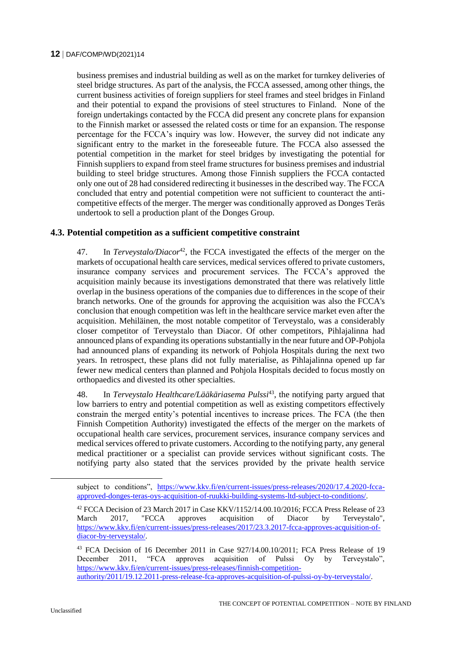business premises and industrial building as well as on the market for turnkey deliveries of steel bridge structures. As part of the analysis, the FCCA assessed, among other things, the current business activities of foreign suppliers for steel frames and steel bridges in Finland and their potential to expand the provisions of steel structures to Finland. None of the foreign undertakings contacted by the FCCA did present any concrete plans for expansion to the Finnish market or assessed the related costs or time for an expansion. The response percentage for the FCCA's inquiry was low. However, the survey did not indicate any significant entry to the market in the foreseeable future. The FCCA also assessed the potential competition in the market for steel bridges by investigating the potential for Finnish suppliers to expand from steel frame structures for business premises and industrial building to steel bridge structures. Among those Finnish suppliers the FCCA contacted only one out of 28 had considered redirecting it businesses in the described way. The FCCA concluded that entry and potential competition were not sufficient to counteract the anticompetitive effects of the merger. The merger was conditionally approved as Donges Teräs undertook to sell a production plant of the Donges Group.

### **4.3. Potential competition as a sufficient competitive constraint**

47. In *Terveystalo/Diacor*<sup>42</sup>, the FCCA investigated the effects of the merger on the markets of occupational health care services, medical services offered to private customers, insurance company services and procurement services. The FCCA's approved the acquisition mainly because its investigations demonstrated that there was relatively little overlap in the business operations of the companies due to differences in the scope of their branch networks. One of the grounds for approving the acquisition was also the FCCA's conclusion that enough competition was left in the healthcare service market even after the acquisition. Mehiläinen, the most notable competitor of Terveystalo, was a considerably closer competitor of Terveystalo than Diacor. Of other competitors, Pihlajalinna had announced plans of expanding its operations substantially in the near future and OP-Pohjola had announced plans of expanding its network of Pohjola Hospitals during the next two years. In retrospect, these plans did not fully materialise, as Pihlajalinna opened up far fewer new medical centers than planned and Pohjola Hospitals decided to focus mostly on orthopaedics and divested its other specialties.

48. In *Terveystalo Healthcare/Lääkäriasema Pulssi*<sup>43</sup>, the notifying party argued that low barriers to entry and potential competition as well as existing competitors effectively constrain the merged entity's potential incentives to increase prices. The FCA (the then Finnish Competition Authority) investigated the effects of the merger on the markets of occupational health care services, procurement services, insurance company services and medical services offered to private customers. According to the notifying party, any general medical practitioner or a specialist can provide services without significant costs. The notifying party also stated that the services provided by the private health service

subject to conditions", [https://www.kkv.fi/en/current-issues/press-releases/2020/17.4.2020-fcca](https://www.kkv.fi/en/current-issues/press-releases/2020/17.4.2020-fcca-approved-donges-teras-oys-acquisition-of-ruukki-building-systems-ltd-subject-to-conditions/)[approved-donges-teras-oys-acquisition-of-ruukki-building-systems-ltd-subject-to-conditions/.](https://www.kkv.fi/en/current-issues/press-releases/2020/17.4.2020-fcca-approved-donges-teras-oys-acquisition-of-ruukki-building-systems-ltd-subject-to-conditions/)

<sup>&</sup>lt;sup>42</sup> FCCA Decision of 23 March 2017 in Case KKV/1152/14.00.10/2016; FCCA Press Release of 23 March 2017, "FCCA approves acquisition of Diacor by Terveystalo", [https://www.kkv.fi/en/current-issues/press-releases/2017/23.3.2017-fcca-approves-acquisition-of](https://www.kkv.fi/en/current-issues/press-releases/2017/23.3.2017-fcca-approves-acquisition-of-diacor-by-terveystalo/)[diacor-by-terveystalo/.](https://www.kkv.fi/en/current-issues/press-releases/2017/23.3.2017-fcca-approves-acquisition-of-diacor-by-terveystalo/) 

<sup>&</sup>lt;sup>43</sup> FCA Decision of 16 December 2011 in Case 927/14.00.10/2011; FCA Press Release of 19 December 2011, "FCA approves acquisition of Pulssi Oy by Terveystalo", December 2011, "FCA approves acquisition of Pulssi Oy by Terveystalo", [https://www.kkv.fi/en/current-issues/press-releases/finnish-competition](https://www.kkv.fi/en/current-issues/press-releases/finnish-competition-authority/2011/19.12.2011-press-release-fca-approves-acquisition-of-pulssi-oy-by-terveystalo/)[authority/2011/19.12.2011-press-release-fca-approves-acquisition-of-pulssi-oy-by-terveystalo/.](https://www.kkv.fi/en/current-issues/press-releases/finnish-competition-authority/2011/19.12.2011-press-release-fca-approves-acquisition-of-pulssi-oy-by-terveystalo/)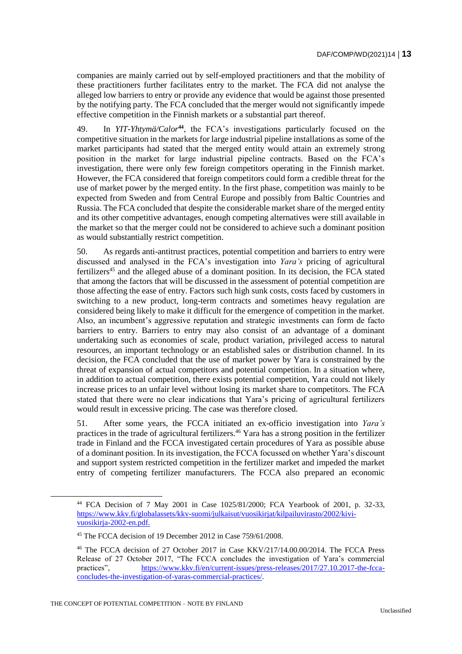companies are mainly carried out by self-employed practitioners and that the mobility of these practitioners further facilitates entry to the market. The FCA did not analyse the alleged low barriers to entry or provide any evidence that would be against those presented by the notifying party. The FCA concluded that the merger would not significantly impede effective competition in the Finnish markets or a substantial part thereof.

49. In *YIT-Yhtymä/Calor***<sup>44</sup>**, the FCA's investigations particularly focused on the competitive situation in the markets for large industrial pipeline installations as some of the market participants had stated that the merged entity would attain an extremely strong position in the market for large industrial pipeline contracts. Based on the FCA's investigation, there were only few foreign competitors operating in the Finnish market. However, the FCA considered that foreign competitors could form a credible threat for the use of market power by the merged entity. In the first phase, competition was mainly to be expected from Sweden and from Central Europe and possibly from Baltic Countries and Russia. The FCA concluded that despite the considerable market share of the merged entity and its other competitive advantages, enough competing alternatives were still available in the market so that the merger could not be considered to achieve such a dominant position as would substantially restrict competition.

50. As regards anti-antitrust practices, potential competition and barriers to entry were discussed and analysed in the FCA's investigation into *Yara's* pricing of agricultural fertilizers<sup>45</sup> and the alleged abuse of a dominant position. In its decision, the FCA stated that among the factors that will be discussed in the assessment of potential competition are those affecting the ease of entry. Factors such high sunk costs, costs faced by customers in switching to a new product, long-term contracts and sometimes heavy regulation are considered being likely to make it difficult for the emergence of competition in the market. Also, an incumbent's aggressive reputation and strategic investments can form de facto barriers to entry. Barriers to entry may also consist of an advantage of a dominant undertaking such as economies of scale, product variation, privileged access to natural resources, an important technology or an established sales or distribution channel. In its decision, the FCA concluded that the use of market power by Yara is constrained by the threat of expansion of actual competitors and potential competition. In a situation where, in addition to actual competition, there exists potential competition, Yara could not likely increase prices to an unfair level without losing its market share to competitors. The FCA stated that there were no clear indications that Yara's pricing of agricultural fertilizers would result in excessive pricing. The case was therefore closed.

51. After some years, the FCCA initiated an ex-officio investigation into *Yara's*  practices in the trade of agricultural fertilizers.<sup>46</sup> Yara has a strong position in the fertilizer trade in Finland and the FCCA investigated certain procedures of Yara as possible abuse of a dominant position. In its investigation, the FCCA focussed on whether Yara's discount and support system restricted competition in the fertilizer market and impeded the market entry of competing fertilizer manufacturers. The FCCA also prepared an economic

<sup>44</sup> FCA Decision of 7 May 2001 in Case 1025/81/2000; FCA Yearbook of 2001, p. 32-33, [https://www.kkv.fi/globalassets/kkv-suomi/julkaisut/vuosikirjat/kilpailuvirasto/2002/kivi](https://www.kkv.fi/globalassets/kkv-suomi/julkaisut/vuosikirjat/kilpailuvirasto/2002/kivi-vuosikirja-2002-en.pdf)[vuosikirja-2002-en.pdf.](https://www.kkv.fi/globalassets/kkv-suomi/julkaisut/vuosikirjat/kilpailuvirasto/2002/kivi-vuosikirja-2002-en.pdf)

<sup>&</sup>lt;sup>45</sup> The FCCA decision of 19 December 2012 in Case 759/61/2008.

<sup>46</sup> The FCCA decision of 27 October 2017 in Case KKV/217/14.00.00/2014. The FCCA Press Release of 27 October 2017, "The FCCA concludes the investigation of Yara's commercial practices", [https://www.kkv.fi/en/current-issues/press-releases/2017/27.10.2017-the-fcca](https://www.kkv.fi/en/current-issues/press-releases/2017/27.10.2017-the-fcca-concludes-the-investigation-of-yaras-commercial-practices/)[concludes-the-investigation-of-yaras-commercial-practices/.](https://www.kkv.fi/en/current-issues/press-releases/2017/27.10.2017-the-fcca-concludes-the-investigation-of-yaras-commercial-practices/)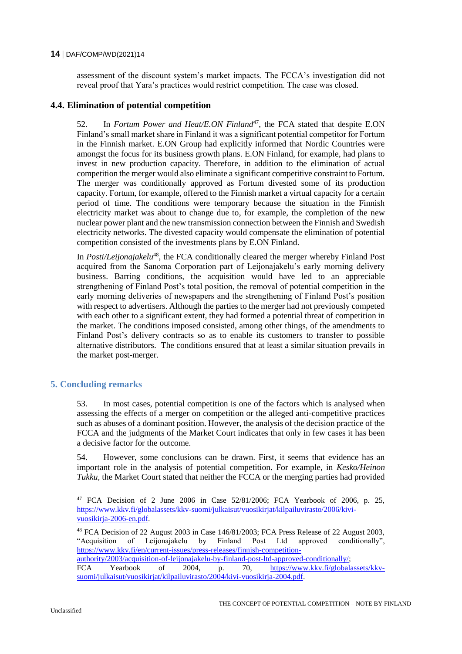assessment of the discount system's market impacts. The FCCA's investigation did not reveal proof that Yara's practices would restrict competition. The case was closed.

# **4.4. Elimination of potential competition**

52. In *Fortum Power and Heat/E.ON Finland<sup>47</sup>*, the FCA stated that despite E.ON Finland's small market share in Finland it was a significant potential competitor for Fortum in the Finnish market. E.ON Group had explicitly informed that Nordic Countries were amongst the focus for its business growth plans. E.ON Finland, for example, had plans to invest in new production capacity. Therefore, in addition to the elimination of actual competition the merger would also eliminate a significant competitive constraint to Fortum. The merger was conditionally approved as Fortum divested some of its production capacity. Fortum, for example, offered to the Finnish market a virtual capacity for a certain period of time. The conditions were temporary because the situation in the Finnish electricity market was about to change due to, for example, the completion of the new nuclear power plant and the new transmission connection between the Finnish and Swedish electricity networks. The divested capacity would compensate the elimination of potential competition consisted of the investments plans by E.ON Finland.

In *Posti/Leijonajakelu*<sup>48</sup>, the FCA conditionally cleared the merger whereby Finland Post acquired from the Sanoma Corporation part of Leijonajakelu's early morning delivery business. Barring conditions, the acquisition would have led to an appreciable strengthening of Finland Post's total position, the removal of potential competition in the early morning deliveries of newspapers and the strengthening of Finland Post's position with respect to advertisers. Although the parties to the merger had not previously competed with each other to a significant extent, they had formed a potential threat of competition in the market. The conditions imposed consisted, among other things, of the amendments to Finland Post's delivery contracts so as to enable its customers to transfer to possible alternative distributors. The conditions ensured that at least a similar situation prevails in the market post-merger.

# **5. Concluding remarks**

53. In most cases, potential competition is one of the factors which is analysed when assessing the effects of a merger on competition or the alleged anti-competitive practices such as abuses of a dominant position. However, the analysis of the decision practice of the FCCA and the judgments of the Market Court indicates that only in few cases it has been a decisive factor for the outcome.

54. However, some conclusions can be drawn. First, it seems that evidence has an important role in the analysis of potential competition. For example, in *Kesko/Heinon Tukku*, the Market Court stated that neither the FCCA or the merging parties had provided

<sup>47</sup> FCA Decision of 2 June 2006 in Case 52/81/2006; FCA Yearbook of 2006, p. 25, [https://www.kkv.fi/globalassets/kkv-suomi/julkaisut/vuosikirjat/kilpailuvirasto/2006/kivi](https://www.kkv.fi/globalassets/kkv-suomi/julkaisut/vuosikirjat/kilpailuvirasto/2006/kivi-vuosikirja-2006-en.pdf)[vuosikirja-2006-en.pdf.](https://www.kkv.fi/globalassets/kkv-suomi/julkaisut/vuosikirjat/kilpailuvirasto/2006/kivi-vuosikirja-2006-en.pdf)

<sup>48</sup> FCA Decision of 22 August 2003 in Case 146/81/2003; FCA Press Release of 22 August 2003, "Acquisition of Leijonajakelu by Finland Post Ltd approved conditionally", [https://www.kkv.fi/en/current-issues/press-releases/finnish-competition](https://www.kkv.fi/en/current-issues/press-releases/finnish-competition-authority/2003/acquisition-of-leijonajakelu-by-finland-post-ltd-approved-conditionally/)[authority/2003/acquisition-of-leijonajakelu-by-finland-post-ltd-approved-conditionally/;](https://www.kkv.fi/en/current-issues/press-releases/finnish-competition-authority/2003/acquisition-of-leijonajakelu-by-finland-post-ltd-approved-conditionally/) FCA Yearbook of 2004, p. 70, [https://www.kkv.fi/globalassets/kkv-](https://www.kkv.fi/globalassets/kkv-suomi/julkaisut/vuosikirjat/kilpailuvirasto/2004/kivi-vuosikirja-2004.pdf)

[suomi/julkaisut/vuosikirjat/kilpailuvirasto/2004/kivi-vuosikirja-2004.pdf.](https://www.kkv.fi/globalassets/kkv-suomi/julkaisut/vuosikirjat/kilpailuvirasto/2004/kivi-vuosikirja-2004.pdf)